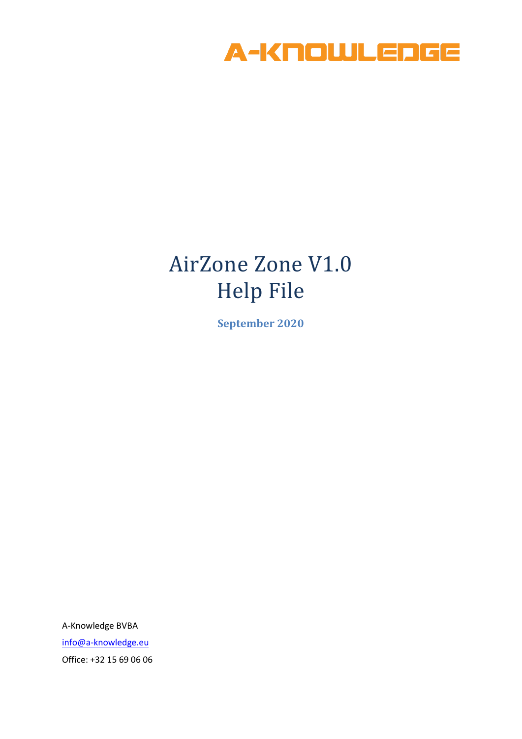

# AirZone Zone V1.0 Help File

**September 2020**

A-Knowledge BVBA [info@a-knowledge.eu](mailto:info@a-knowledge.eu) Office: +32 15 69 06 06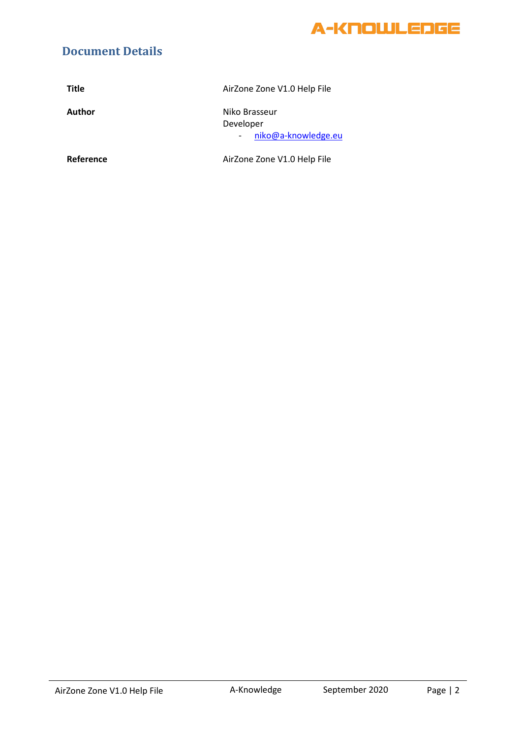

#### **Document Details**

| <b>Title</b> | AirZone Zone V1.0 Help File                       |
|--------------|---------------------------------------------------|
| Author       | Niko Brasseur<br>Developer<br>niko@a-knowledge.eu |
| Reference    | AirZone Zone V1.0 Help File                       |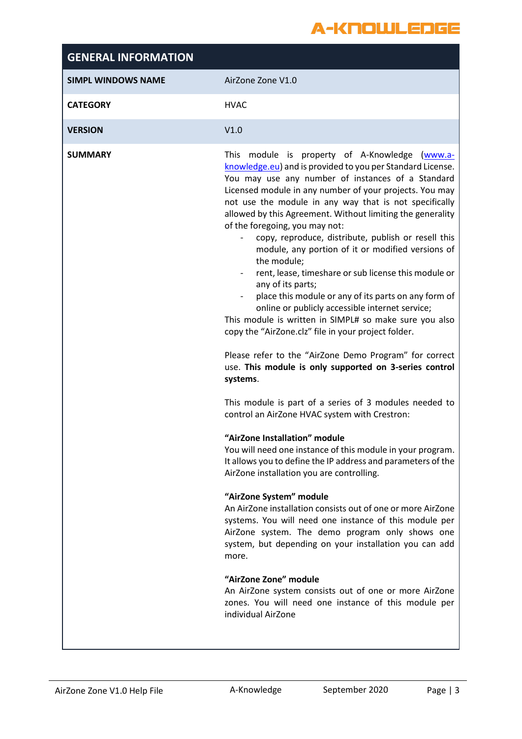#### A-KNOUJLEDGE

| This module is property of A-Knowledge (www.a-<br>knowledge.eu) and is provided to you per Standard License.<br>You may use any number of instances of a Standard<br>Licensed module in any number of your projects. You may<br>not use the module in any way that is not specifically<br>allowed by this Agreement. Without limiting the generality<br>copy, reproduce, distribute, publish or resell this<br>module, any portion of it or modified versions of<br>rent, lease, timeshare or sub license this module or<br>place this module or any of its parts on any form of<br>online or publicly accessible internet service;<br>This module is written in SIMPL# so make sure you also<br>copy the "AirZone.clz" file in your project folder.<br>Please refer to the "AirZone Demo Program" for correct<br>use. This module is only supported on 3-series control<br>This module is part of a series of 3 modules needed to<br>control an AirZone HVAC system with Crestron:<br>You will need one instance of this module in your program.<br>It allows you to define the IP address and parameters of the<br>An AirZone installation consists out of one or more AirZone<br>systems. You will need one instance of this module per<br>AirZone system. The demo program only shows one<br>system, but depending on your installation you can add<br>An AirZone system consists out of one or more AirZone<br>zones. You will need one instance of this module per |
|--------------------------------------------------------------------------------------------------------------------------------------------------------------------------------------------------------------------------------------------------------------------------------------------------------------------------------------------------------------------------------------------------------------------------------------------------------------------------------------------------------------------------------------------------------------------------------------------------------------------------------------------------------------------------------------------------------------------------------------------------------------------------------------------------------------------------------------------------------------------------------------------------------------------------------------------------------------------------------------------------------------------------------------------------------------------------------------------------------------------------------------------------------------------------------------------------------------------------------------------------------------------------------------------------------------------------------------------------------------------------------------------------------------------------------------------------------------------------|
|                                                                                                                                                                                                                                                                                                                                                                                                                                                                                                                                                                                                                                                                                                                                                                                                                                                                                                                                                                                                                                                                                                                                                                                                                                                                                                                                                                                                                                                                          |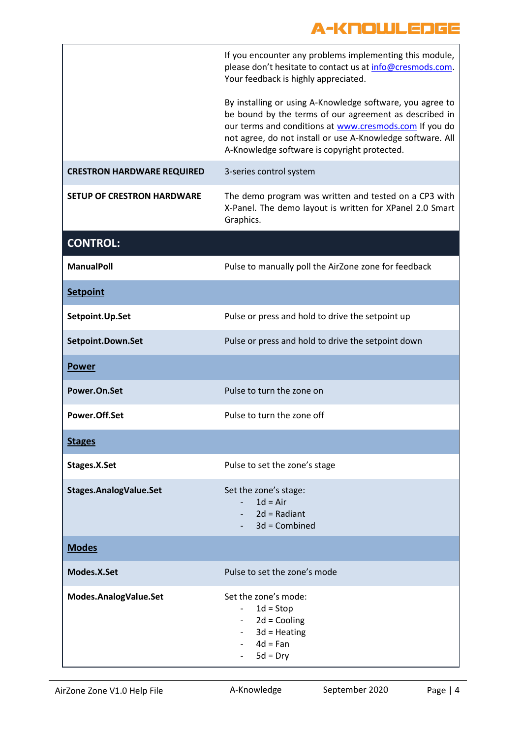|                                   | If you encounter any problems implementing this module,<br>please don't hesitate to contact us at info@cresmods.com.<br>Your feedback is highly appreciated.                                                                                                                                |
|-----------------------------------|---------------------------------------------------------------------------------------------------------------------------------------------------------------------------------------------------------------------------------------------------------------------------------------------|
|                                   | By installing or using A-Knowledge software, you agree to<br>be bound by the terms of our agreement as described in<br>our terms and conditions at www.cresmods.com If you do<br>not agree, do not install or use A-Knowledge software. All<br>A-Knowledge software is copyright protected. |
| <b>CRESTRON HARDWARE REQUIRED</b> | 3-series control system                                                                                                                                                                                                                                                                     |
| <b>SETUP OF CRESTRON HARDWARE</b> | The demo program was written and tested on a CP3 with<br>X-Panel. The demo layout is written for XPanel 2.0 Smart<br>Graphics.                                                                                                                                                              |
| <b>CONTROL:</b>                   |                                                                                                                                                                                                                                                                                             |
| <b>ManualPoll</b>                 | Pulse to manually poll the AirZone zone for feedback                                                                                                                                                                                                                                        |
| <b>Setpoint</b>                   |                                                                                                                                                                                                                                                                                             |
| Setpoint.Up.Set                   | Pulse or press and hold to drive the setpoint up                                                                                                                                                                                                                                            |
| Setpoint.Down.Set                 | Pulse or press and hold to drive the setpoint down                                                                                                                                                                                                                                          |
| <b>Power</b>                      |                                                                                                                                                                                                                                                                                             |
| Power.On.Set                      | Pulse to turn the zone on                                                                                                                                                                                                                                                                   |
| Power.Off.Set                     | Pulse to turn the zone off                                                                                                                                                                                                                                                                  |
| <b>Stages</b>                     |                                                                                                                                                                                                                                                                                             |
| Stages.X.Set                      | Pulse to set the zone's stage                                                                                                                                                                                                                                                               |
| <b>Stages.AnalogValue.Set</b>     | Set the zone's stage:<br>$1d = Air$<br>$2d$ = Radiant<br>3d = Combined                                                                                                                                                                                                                      |
| <b>Modes</b>                      |                                                                                                                                                                                                                                                                                             |
| Modes.X.Set                       | Pulse to set the zone's mode                                                                                                                                                                                                                                                                |
| Modes.AnalogValue.Set             | Set the zone's mode:<br>$1d = Stop$<br>$-2d =$ Cooling<br>$3d$ = Heating<br>$4d = Fan$<br>$5d = Dry$                                                                                                                                                                                        |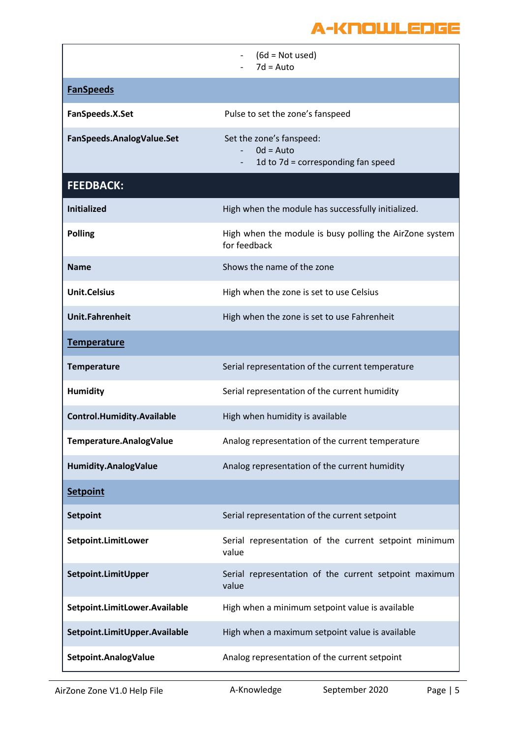|                                   | $(6d = Not used)$<br>$7d = Auto$                                                                          |
|-----------------------------------|-----------------------------------------------------------------------------------------------------------|
| <b>FanSpeeds</b>                  |                                                                                                           |
| FanSpeeds.X.Set                   | Pulse to set the zone's fanspeed                                                                          |
| FanSpeeds.AnalogValue.Set         | Set the zone's fanspeed:<br>$0d = Auto$<br>$\overline{\phantom{0}}$<br>1d to 7d = corresponding fan speed |
| <b>FEEDBACK:</b>                  |                                                                                                           |
| <b>Initialized</b>                | High when the module has successfully initialized.                                                        |
| <b>Polling</b>                    | High when the module is busy polling the AirZone system<br>for feedback                                   |
| <b>Name</b>                       | Shows the name of the zone                                                                                |
| <b>Unit.Celsius</b>               | High when the zone is set to use Celsius                                                                  |
| <b>Unit.Fahrenheit</b>            | High when the zone is set to use Fahrenheit                                                               |
| <b>Temperature</b>                |                                                                                                           |
| <b>Temperature</b>                | Serial representation of the current temperature                                                          |
| <b>Humidity</b>                   | Serial representation of the current humidity                                                             |
| <b>Control.Humidity.Available</b> | High when humidity is available                                                                           |
| Temperature.AnalogValue           | Analog representation of the current temperature                                                          |
| <b>Humidity.AnalogValue</b>       | Analog representation of the current humidity                                                             |
| <b>Setpoint</b>                   |                                                                                                           |
| <b>Setpoint</b>                   | Serial representation of the current setpoint                                                             |
| Setpoint.LimitLower               | Serial representation of the current setpoint minimum<br>value                                            |
| Setpoint.LimitUpper               | Serial representation of the current setpoint maximum<br>value                                            |
| Setpoint.LimitLower.Available     | High when a minimum setpoint value is available                                                           |
| Setpoint.LimitUpper.Available     | High when a maximum setpoint value is available                                                           |
| Setpoint.AnalogValue              | Analog representation of the current setpoint                                                             |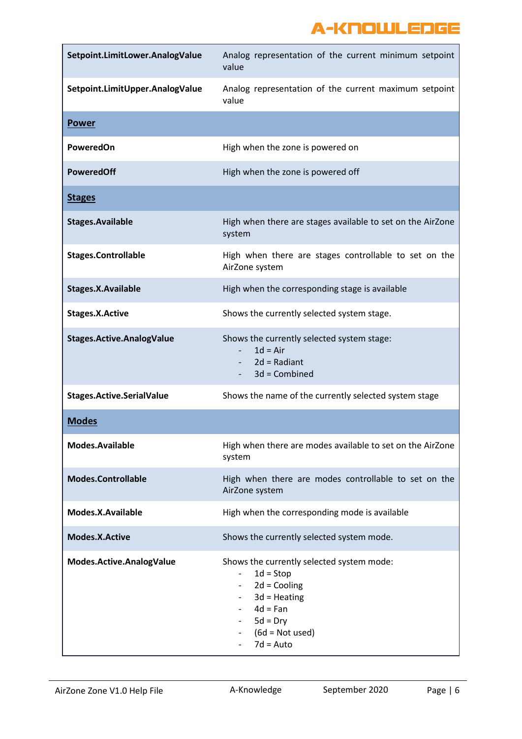| Setpoint.LimitLower.AnalogValue  | Analog representation of the current minimum setpoint<br>value                                                                                                                                                                                                               |
|----------------------------------|------------------------------------------------------------------------------------------------------------------------------------------------------------------------------------------------------------------------------------------------------------------------------|
| Setpoint.LimitUpper.AnalogValue  | Analog representation of the current maximum setpoint<br>value                                                                                                                                                                                                               |
| <b>Power</b>                     |                                                                                                                                                                                                                                                                              |
| <b>PoweredOn</b>                 | High when the zone is powered on                                                                                                                                                                                                                                             |
| <b>PoweredOff</b>                | High when the zone is powered off                                                                                                                                                                                                                                            |
| <b>Stages</b>                    |                                                                                                                                                                                                                                                                              |
| <b>Stages.Available</b>          | High when there are stages available to set on the AirZone<br>system                                                                                                                                                                                                         |
| <b>Stages.Controllable</b>       | High when there are stages controllable to set on the<br>AirZone system                                                                                                                                                                                                      |
| <b>Stages.X.Available</b>        | High when the corresponding stage is available                                                                                                                                                                                                                               |
| <b>Stages.X.Active</b>           | Shows the currently selected system stage.                                                                                                                                                                                                                                   |
| <b>Stages.Active.AnalogValue</b> | Shows the currently selected system stage:<br>$1d = Air$<br>$2d = Radiant$<br>3d = Combined                                                                                                                                                                                  |
| <b>Stages.Active.SerialValue</b> | Shows the name of the currently selected system stage                                                                                                                                                                                                                        |
| <b>Modes</b>                     |                                                                                                                                                                                                                                                                              |
| Modes.Available                  | High when there are modes available to set on the AirZone<br>system                                                                                                                                                                                                          |
| <b>Modes.Controllable</b>        | High when there are modes controllable to set on the<br>AirZone system                                                                                                                                                                                                       |
| Modes.X.Available                | High when the corresponding mode is available                                                                                                                                                                                                                                |
| Modes.X.Active                   | Shows the currently selected system mode.                                                                                                                                                                                                                                    |
| Modes.Active.AnalogValue         | Shows the currently selected system mode:<br>$1d = Stop$<br>$\overline{\phantom{a}}$<br>$2d =$ Cooling<br>$\overline{\phantom{a}}$<br>$3d$ = Heating<br>$\overline{\phantom{a}}$<br>$4d = Fan$<br>$5d = Dry$<br>$\overline{\phantom{a}}$<br>$(6d = Not used)$<br>$7d = Auto$ |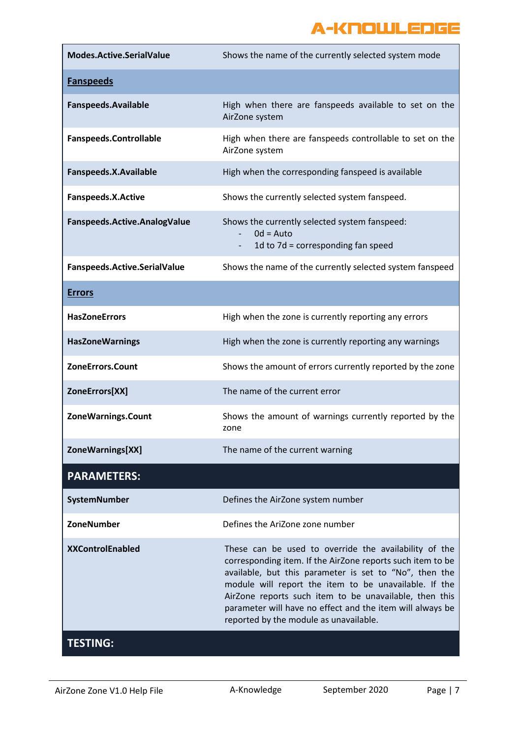| Modes.Active.SerialValue      | Shows the name of the currently selected system mode                                                                                                                                                                                                                                                                                                                                                    |
|-------------------------------|---------------------------------------------------------------------------------------------------------------------------------------------------------------------------------------------------------------------------------------------------------------------------------------------------------------------------------------------------------------------------------------------------------|
| <b>Fanspeeds</b>              |                                                                                                                                                                                                                                                                                                                                                                                                         |
| <b>Fanspeeds.Available</b>    | High when there are fanspeeds available to set on the<br>AirZone system                                                                                                                                                                                                                                                                                                                                 |
| <b>Fanspeeds.Controllable</b> | High when there are fanspeeds controllable to set on the<br>AirZone system                                                                                                                                                                                                                                                                                                                              |
| Fanspeeds.X.Available         | High when the corresponding fanspeed is available                                                                                                                                                                                                                                                                                                                                                       |
| <b>Fanspeeds.X.Active</b>     | Shows the currently selected system fanspeed.                                                                                                                                                                                                                                                                                                                                                           |
| Fanspeeds.Active.AnalogValue  | Shows the currently selected system fanspeed:<br>$0d = Auto$<br>1d to 7d = corresponding fan speed<br>$\sim$                                                                                                                                                                                                                                                                                            |
| Fanspeeds.Active.SerialValue  | Shows the name of the currently selected system fanspeed                                                                                                                                                                                                                                                                                                                                                |
| <b>Errors</b>                 |                                                                                                                                                                                                                                                                                                                                                                                                         |
| <b>HasZoneErrors</b>          | High when the zone is currently reporting any errors                                                                                                                                                                                                                                                                                                                                                    |
| <b>HasZoneWarnings</b>        | High when the zone is currently reporting any warnings                                                                                                                                                                                                                                                                                                                                                  |
| <b>ZoneErrors.Count</b>       | Shows the amount of errors currently reported by the zone                                                                                                                                                                                                                                                                                                                                               |
| ZoneErrors[XX]                | The name of the current error                                                                                                                                                                                                                                                                                                                                                                           |
| ZoneWarnings.Count            | Shows the amount of warnings currently reported by the<br>zone                                                                                                                                                                                                                                                                                                                                          |
| ZoneWarnings[XX]              | The name of the current warning                                                                                                                                                                                                                                                                                                                                                                         |
| <b>PARAMETERS:</b>            |                                                                                                                                                                                                                                                                                                                                                                                                         |
| SystemNumber                  | Defines the AirZone system number                                                                                                                                                                                                                                                                                                                                                                       |
| ZoneNumber                    | Defines the AriZone zone number                                                                                                                                                                                                                                                                                                                                                                         |
| <b>XXControlEnabled</b>       | These can be used to override the availability of the<br>corresponding item. If the AirZone reports such item to be<br>available, but this parameter is set to "No", then the<br>module will report the item to be unavailable. If the<br>AirZone reports such item to be unavailable, then this<br>parameter will have no effect and the item will always be<br>reported by the module as unavailable. |
| <b>TESTING:</b>               |                                                                                                                                                                                                                                                                                                                                                                                                         |